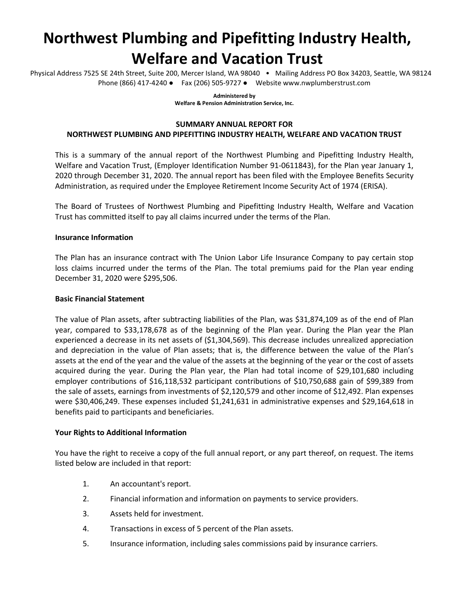# **Northwest Plumbing and Pipefitting Industry Health, Welfare and Vacation Trust**

Physical Address 7525 SE 24th Street, Suite 200, Mercer Island, WA 98040 • Mailing Address PO Box 34203, Seattle, WA 98124 Phone (866) 417-4240 ● Fax (206) 505-9727 ● Website www.nwplumberstrust.com

> **Administered by Welfare & Pension Administration Service, Inc.**

## **SUMMARY ANNUAL REPORT FOR**

# **NORTHWEST PLUMBING AND PIPEFITTING INDUSTRY HEALTH, WELFARE AND VACATION TRUST**

This is a summary of the annual report of the Northwest Plumbing and Pipefitting Industry Health, Welfare and Vacation Trust, (Employer Identification Number 91-0611843), for the Plan year January 1, 2020 through December 31, 2020. The annual report has been filed with the Employee Benefits Security Administration, as required under the Employee Retirement Income Security Act of 1974 (ERISA).

The Board of Trustees of Northwest Plumbing and Pipefitting Industry Health, Welfare and Vacation Trust has committed itself to pay all claims incurred under the terms of the Plan.

#### **Insurance Information**

The Plan has an insurance contract with The Union Labor Life Insurance Company to pay certain stop loss claims incurred under the terms of the Plan. The total premiums paid for the Plan year ending December 31, 2020 were \$295,506.

#### **Basic Financial Statement**

The value of Plan assets, after subtracting liabilities of the Plan, was \$31,874,109 as of the end of Plan year, compared to \$33,178,678 as of the beginning of the Plan year. During the Plan year the Plan experienced a decrease in its net assets of (\$1,304,569). This decrease includes unrealized appreciation and depreciation in the value of Plan assets; that is, the difference between the value of the Plan's assets at the end of the year and the value of the assets at the beginning of the year or the cost of assets acquired during the year. During the Plan year, the Plan had total income of \$29,101,680 including employer contributions of \$16,118,532 participant contributions of \$10,750,688 gain of \$99,389 from the sale of assets, earnings from investments of \$2,120,579 and other income of \$12,492. Plan expenses were \$30,406,249. These expenses included \$1,241,631 in administrative expenses and \$29,164,618 in benefits paid to participants and beneficiaries.

#### **Your Rights to Additional Information**

You have the right to receive a copy of the full annual report, or any part thereof, on request. The items listed below are included in that report:

- 1. An accountant's report.
- 2. Financial information and information on payments to service providers.
- 3. Assets held for investment.
- 4. Transactions in excess of 5 percent of the Plan assets.
- 5. Insurance information, including sales commissions paid by insurance carriers.